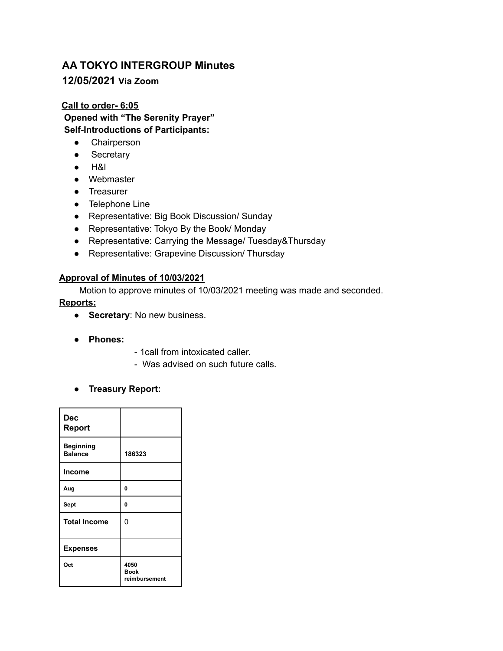# **AA TOKYO INTERGROUP Minutes 12/05/2021 Via Zoom**

**Call to order- 6:05 Opened with "The Serenity Prayer" Self-Introductions of Participants:**

- **●** Chairperson
- Secretary
- H&I
- Webmaster
- Treasurer
- Telephone Line
- Representative: Big Book Discussion/ Sunday
- Representative: Tokyo By the Book/ Monday
- Representative: Carrying the Message/ Tuesday&Thursday
- Representative: Grapevine Discussion/ Thursday

#### **Approval of Minutes of 10/03/2021**

Motion to approve minutes of 10/03/2021 meeting was made and seconded.

#### **Reports:**

- **Secretary**: No new business.
- **● Phones:**
- 1call from intoxicated caller.
- Was advised on such future calls.
- **● Treasury Report:**

| Dec<br><b>Report</b>               |                                      |
|------------------------------------|--------------------------------------|
| <b>Beginning</b><br><b>Balance</b> | 186323                               |
| <b>Income</b>                      |                                      |
| Aug                                | 0                                    |
| Sept                               | 0                                    |
| <b>Total Income</b>                | 0                                    |
| <b>Expenses</b>                    |                                      |
| Oct                                | 4050<br><b>Book</b><br>reimbursement |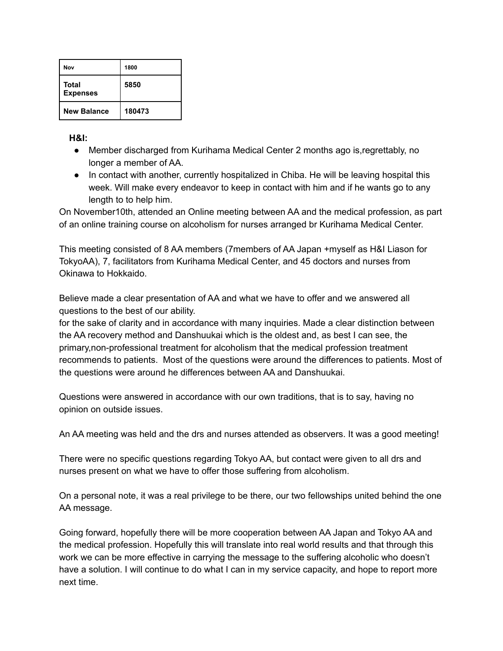| Nov                      | 1800   |
|--------------------------|--------|
| Total<br><b>Expenses</b> | 5850   |
| <b>New Balance</b>       | 180473 |

**H&I:**

- Member discharged from Kurihama Medical Center 2 months ago is,regrettably, no longer a member of AA.
- In contact with another, currently hospitalized in Chiba. He will be leaving hospital this week. Will make every endeavor to keep in contact with him and if he wants go to any length to to help him.

On November10th, attended an Online meeting between AA and the medical profession, as part of an online training course on alcoholism for nurses arranged br Kurihama Medical Center.

This meeting consisted of 8 AA members (7members of AA Japan +myself as H&I Liason for TokyoAA), 7, facilitators from Kurihama Medical Center, and 45 doctors and nurses from Okinawa to Hokkaido.

Believe made a clear presentation of AA and what we have to offer and we answered all questions to the best of our ability.

for the sake of clarity and in accordance with many inquiries. Made a clear distinction between the AA recovery method and Danshuukai which is the oldest and, as best I can see, the primary,non-professional treatment for alcoholism that the medical profession treatment recommends to patients. Most of the questions were around the differences to patients. Most of the questions were around he differences between AA and Danshuukai.

Questions were answered in accordance with our own traditions, that is to say, having no opinion on outside issues.

An AA meeting was held and the drs and nurses attended as observers. It was a good meeting!

There were no specific questions regarding Tokyo AA, but contact were given to all drs and nurses present on what we have to offer those suffering from alcoholism.

On a personal note, it was a real privilege to be there, our two fellowships united behind the one AA message.

Going forward, hopefully there will be more cooperation between AA Japan and Tokyo AA and the medical profession. Hopefully this will translate into real world results and that through this work we can be more effective in carrying the message to the suffering alcoholic who doesn't have a solution. I will continue to do what I can in my service capacity, and hope to report more next time.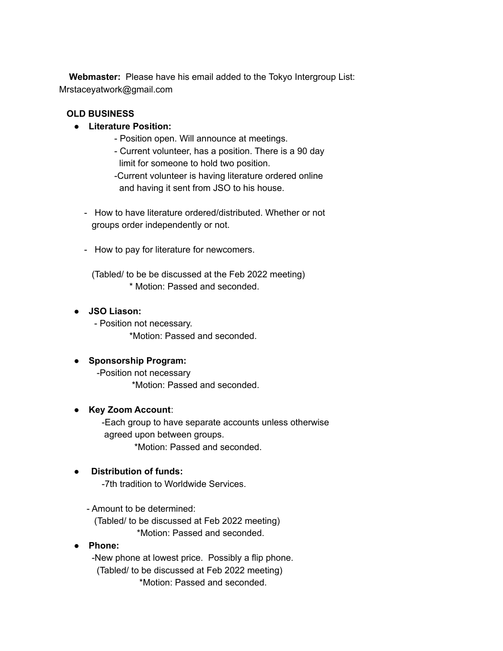**Webmaster:** Please have his email added to the Tokyo Intergroup List: Mrstaceyatwork@gmail.com

#### **OLD BUSINESS**

## **● Literature Position:**

- Position open. Will announce at meetings.
- Current volunteer, has a position. There is a 90 day limit for someone to hold two position.
- -Current volunteer is having literature ordered online and having it sent from JSO to his house.
- How to have literature ordered/distributed. Whether or not groups order independently or not.
- How to pay for literature for newcomers.

(Tabled/ to be be discussed at the Feb 2022 meeting) \* Motion: Passed and seconded.

## **● JSO Liason:**

- Position not necessary. \*Motion: Passed and seconded.

## ● **Sponsorship Program:**

-Position not necessary \*Motion: Passed and seconded.

## **● Key Zoom Account**:

-Each group to have separate accounts unless otherwise agreed upon between groups. \*Motion: Passed and seconded.

# **Distribution of funds:**

-7th tradition to Worldwide Services.

## - Amount to be determined:

(Tabled/ to be discussed at Feb 2022 meeting) \*Motion: Passed and seconded.

## **● Phone:**

-New phone at lowest price. Possibly a flip phone. (Tabled/ to be discussed at Feb 2022 meeting) \*Motion: Passed and seconded.